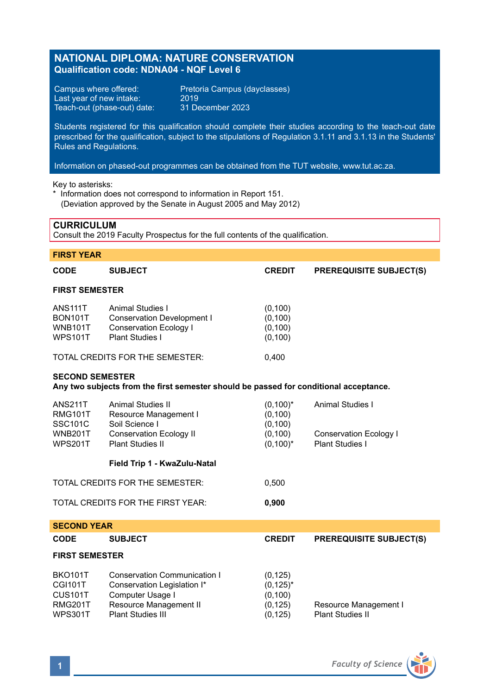# **NATIONAL DIPLOMA: NATURE CONSERVATION Qualification code: NDNA04 - NQF Level 6**

Last year of new intake: 2019<br>Teach-out (phase-out) date: 31 December 2023 Teach-out (phase-out) date:

Campus where offered: Pretoria Campus (dayclasses)<br>Last year of new intake: 2019

Students registered for this qualification should complete their studies according to the teach-out date prescribed for the qualification, subject to the stipulations of Regulation 3.1.11 and 3.1.13 in the Students' Rules and Regulations.

Information on phased-out programmes can be obtained from the TUT website, www.tut.ac.za.

Key to asterisks:

\* Information does not correspond to information in Report 151. (Deviation approved by the Senate in August 2005 and May 2012)

### **CURRICULUM**

Consult the 2019 Faculty Prospectus for the full contents of the qualification.

| <b>FIRST YEAR</b>                                                                                               |                                                                                                                                  |                                                                |                                                                      |  |  |  |
|-----------------------------------------------------------------------------------------------------------------|----------------------------------------------------------------------------------------------------------------------------------|----------------------------------------------------------------|----------------------------------------------------------------------|--|--|--|
| CODE                                                                                                            | <b>SUBJECT</b>                                                                                                                   | <b>CREDIT</b>                                                  | <b>PREREQUISITE SUBJECT(S)</b>                                       |  |  |  |
| <b>FIRST SEMESTER</b>                                                                                           |                                                                                                                                  |                                                                |                                                                      |  |  |  |
| <b>ANS111T</b><br><b>BON101T</b><br><b>WNB101T</b><br><b>WPS101T</b>                                            | Animal Studies I<br><b>Conservation Development I</b><br>Conservation Ecology I<br>Plant Studies I                               | (0, 100)<br>(0, 100)<br>(0, 100)<br>(0, 100)                   |                                                                      |  |  |  |
|                                                                                                                 | TOTAL CREDITS FOR THE SEMESTER:                                                                                                  | 0.400                                                          |                                                                      |  |  |  |
| <b>SECOND SEMESTER</b><br>Any two subjects from the first semester should be passed for conditional acceptance. |                                                                                                                                  |                                                                |                                                                      |  |  |  |
| <b>ANS211T</b><br><b>RMG101T</b><br><b>SSC101C</b><br><b>WNB201T</b><br><b>WPS201T</b>                          | <b>Animal Studies II</b><br>Resource Management I<br>Soil Science I<br><b>Conservation Ecology II</b><br><b>Plant Studies II</b> | $(0,100)^*$<br>(0, 100)<br>(0, 100)<br>(0, 100)<br>$(0,100)^*$ | Animal Studies I<br><b>Conservation Ecology I</b><br>Plant Studies I |  |  |  |
|                                                                                                                 | Field Trip 1 - KwaZulu-Natal                                                                                                     |                                                                |                                                                      |  |  |  |
| TOTAL CREDITS FOR THE SEMESTER:                                                                                 |                                                                                                                                  | 0,500                                                          |                                                                      |  |  |  |
| TOTAL CREDITS FOR THE FIRST YEAR:                                                                               |                                                                                                                                  | 0,900                                                          |                                                                      |  |  |  |
| <b>SECOND YEAR</b>                                                                                              |                                                                                                                                  |                                                                |                                                                      |  |  |  |
| <b>CODE</b>                                                                                                     | <b>SUBJECT</b>                                                                                                                   | <b>CREDIT</b>                                                  | <b>PREREQUISITE SUBJECT(S)</b>                                       |  |  |  |
| <b>FIRST SEMESTER</b>                                                                                           |                                                                                                                                  |                                                                |                                                                      |  |  |  |
| <b>BKO101T</b><br><b>CGI101T</b><br><b>CUS101T</b><br><b>RMG201T</b><br><b>WPS301T</b>                          | Conservation Communication I<br>Conservation Legislation I*<br>Computer Usage I<br>Resource Management II<br>Plant Studies III   | (0, 125)<br>$(0, 125)^*$<br>(0, 100)<br>(0, 125)<br>(0.125)    | Resource Management I<br><b>Plant Studies II</b>                     |  |  |  |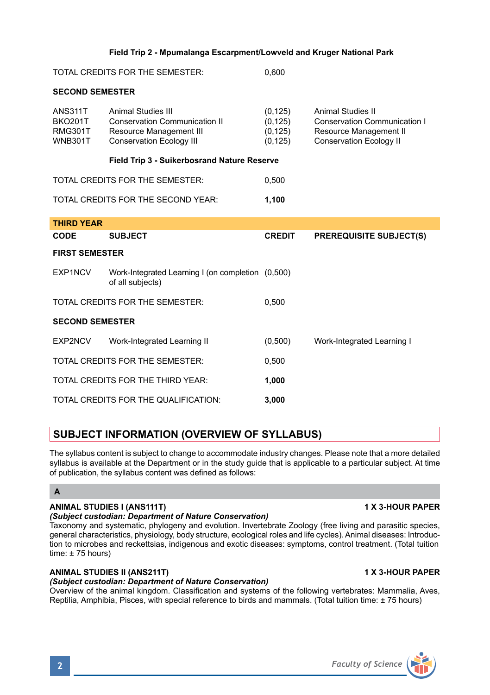# **Field Trip 2 - Mpumalanga Escarpment/Lowveld and Kruger National Park**

| TOTAL CREDITS FOR THE SEMESTER: | 0.600 |
|---------------------------------|-------|
|---------------------------------|-------|

### **SECOND SEMESTER**

| <b>ANS311T</b><br><b>BKO201T</b><br><b>RMG301T</b><br><b>WNB301T</b> | Animal Studies III<br><b>Conservation Communication II</b><br>Resource Management III<br><b>Conservation Ecology III</b> | (0, 125)<br>(0, 125)<br>(0, 125)<br>(0, 125) | Animal Studies II<br><b>Conservation Communication I</b><br>Resource Management II<br><b>Conservation Ecology II</b> |  |  |  |
|----------------------------------------------------------------------|--------------------------------------------------------------------------------------------------------------------------|----------------------------------------------|----------------------------------------------------------------------------------------------------------------------|--|--|--|
|                                                                      | Field Trip 3 - Suikerbosrand Nature Reserve                                                                              |                                              |                                                                                                                      |  |  |  |
| TOTAL CREDITS FOR THE SEMESTER:                                      |                                                                                                                          | 0,500                                        |                                                                                                                      |  |  |  |
| TOTAL CREDITS FOR THE SECOND YEAR:                                   |                                                                                                                          | 1,100                                        |                                                                                                                      |  |  |  |
| <b>THIRD YEAR</b>                                                    |                                                                                                                          |                                              |                                                                                                                      |  |  |  |
| <b>CODE</b>                                                          | <b>SUBJECT</b>                                                                                                           | <b>CREDIT</b>                                | <b>PREREQUISITE SUBJECT(S)</b>                                                                                       |  |  |  |
| <b>FIRST SEMESTER</b>                                                |                                                                                                                          |                                              |                                                                                                                      |  |  |  |
| EXP1NCV                                                              | Work-Integrated Learning I (on completion (0,500)<br>of all subjects)                                                    |                                              |                                                                                                                      |  |  |  |
| TOTAL CREDITS FOR THE SEMESTER:                                      |                                                                                                                          | 0,500                                        |                                                                                                                      |  |  |  |
| <b>SECOND SEMESTER</b>                                               |                                                                                                                          |                                              |                                                                                                                      |  |  |  |
| EXP2NCV                                                              | Work-Integrated Learning II                                                                                              | (0,500)                                      | Work-Integrated Learning I                                                                                           |  |  |  |
| TOTAL CREDITS FOR THE SEMESTER:                                      |                                                                                                                          | 0.500                                        |                                                                                                                      |  |  |  |
| TOTAL CREDITS FOR THE THIRD YEAR:                                    |                                                                                                                          | 1,000                                        |                                                                                                                      |  |  |  |
| TOTAL CREDITS FOR THE QUALIFICATION:                                 |                                                                                                                          | 3,000                                        |                                                                                                                      |  |  |  |

# **SUBJECT INFORMATION (OVERVIEW OF SYLLABUS)**

The syllabus content is subject to change to accommodate industry changes. Please note that a more detailed syllabus is available at the Department or in the study guide that is applicable to a particular subject. At time of publication, the syllabus content was defined as follows:

# **A**

# **ANIMAL STUDIES I (ANS111T) 1 X 3-HOUR PAPER**

# *(Subject custodian: Department of Nature Conservation)*

Taxonomy and systematic, phylogeny and evolution. Invertebrate Zoology (free living and parasitic species, general characteristics, physiology, body structure, ecological roles and life cycles). Animal diseases: Introduction to microbes and reckettsias, indigenous and exotic diseases: symptoms, control treatment. (Total tuition time:  $± 75$  hours)

# **ANIMAL STUDIES II (ANS211T) 1 X 3-HOUR PAPER**

# *(Subject custodian: Department of Nature Conservation)*

Overview of the animal kingdom. Classification and systems of the following vertebrates: Mammalia, Aves, Reptilia, Amphibia, Pisces, with special reference to birds and mammals. (Total tuition time: ± 75 hours)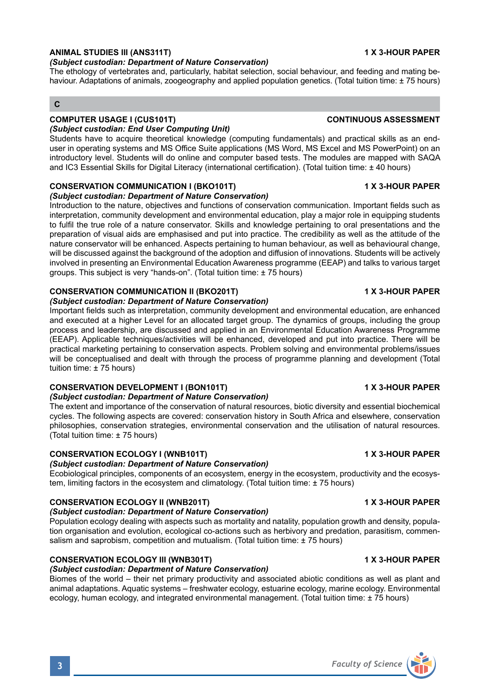### **ANIMAL STUDIES III (ANS311T) 1 X 3-HOUR PAPER**

#### *(Subject custodian: Department of Nature Conservation)*

The ethology of vertebrates and, particularly, habitat selection, social behaviour, and feeding and mating behaviour. Adaptations of animals, zoogeography and applied population genetics. (Total tuition time: ± 75 hours)

# **C**

# **COMPUTER USAGE I (CUS101T) CONTINUOUS ASSESSMENT**

*(Subject custodian: End User Computing Unit)* Students have to acquire theoretical knowledge (computing fundamentals) and practical skills as an enduser in operating systems and MS Office Suite applications (MS Word, MS Excel and MS PowerPoint) on an introductory level. Students will do online and computer based tests. The modules are mapped with SAQA and IC3 Essential Skills for Digital Literacy (international certification). (Total tuition time: ± 40 hours)

### **CONSERVATION COMMUNICATION I (BKO101T) 1 X 3-HOUR PAPER**

#### *(Subject custodian: Department of Nature Conservation)*

Introduction to the nature, objectives and functions of conservation communication. Important fields such as interpretation, community development and environmental education, play a major role in equipping students to fulfil the true role of a nature conservator. Skills and knowledge pertaining to oral presentations and the preparation of visual aids are emphasised and put into practice. The credibility as well as the attitude of the nature conservator will be enhanced. Aspects pertaining to human behaviour, as well as behavioural change, will be discussed against the background of the adoption and diffusion of innovations. Students will be actively involved in presenting an Environmental Education Awareness programme (EEAP) and talks to various target groups. This subject is very "hands-on". (Total tuition time: ± 75 hours)

### **CONSERVATION COMMUNICATION II (BKO201T) 1 X 3-HOUR PAPER**

#### *(Subject custodian: Department of Nature Conservation)*

Important fields such as interpretation, community development and environmental education, are enhanced and executed at a higher Level for an allocated target group. The dynamics of groups, including the group process and leadership, are discussed and applied in an Environmental Education Awareness Programme (EEAP). Applicable techniques/activities will be enhanced, developed and put into practice. There will be practical marketing pertaining to conservation aspects. Problem solving and environmental problems/issues will be conceptualised and dealt with through the process of programme planning and development (Total tuition time: ± 75 hours)

### **CONSERVATION DEVELOPMENT I (BON101T) 1 X 3-HOUR PAPER**

### *(Subject custodian: Department of Nature Conservation)*

The extent and importance of the conservation of natural resources, biotic diversity and essential biochemical cycles. The following aspects are covered: conservation history in South Africa and elsewhere, conservation philosophies, conservation strategies, environmental conservation and the utilisation of natural resources. (Total tuition time: ± 75 hours)

### **CONSERVATION ECOLOGY I (WNB101T) 1 X 3-HOUR PAPER**

#### *(Subject custodian: Department of Nature Conservation)*

Ecobiological principles, components of an ecosystem, energy in the ecosystem, productivity and the ecosystem, limiting factors in the ecosystem and climatology. (Total tuition time: ± 75 hours)

### **CONSERVATION ECOLOGY II (WNB201T) 1 X 3-HOUR PAPER**

### *(Subject custodian: Department of Nature Conservation)*

Population ecology dealing with aspects such as mortality and natality, population growth and density, population organisation and evolution, ecological co-actions such as herbivory and predation, parasitism, commensalism and saprobism, competition and mutualism. (Total tuition time: ± 75 hours)

# **CONSERVATION ECOLOGY III (WNB301T) 1 X 3-HOUR PAPER**

## *(Subject custodian: Department of Nature Conservation)*

Biomes of the world – their net primary productivity and associated abiotic conditions as well as plant and animal adaptations. Aquatic systems – freshwater ecology, estuarine ecology, marine ecology. Environmental ecology, human ecology, and integrated environmental management. (Total tuition time: ± 75 hours)

# **3** *Faculty of Science*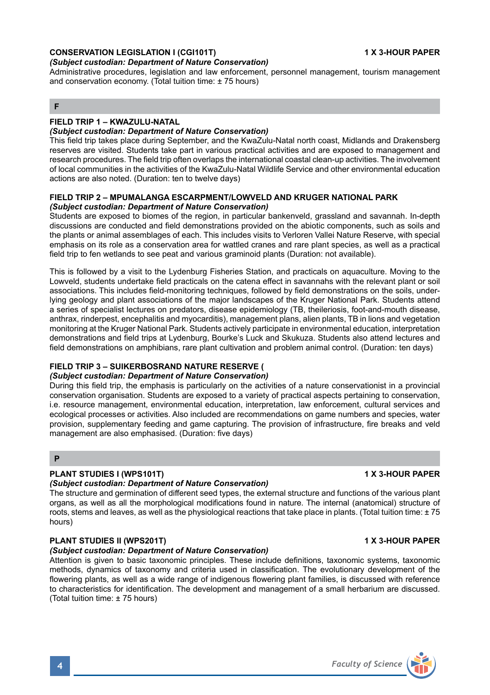# **CONSERVATION LEGISLATION I (CGI101T) 1 X 3-HOUR PAPER**

#### *(Subject custodian: Department of Nature Conservation)*

Administrative procedures, legislation and law enforcement, personnel management, tourism management and conservation economy. (Total tuition time: ± 75 hours)

# **F**

### **FIELD TRIP 1 – KWAZULU-NATAL**

#### *(Subject custodian: Department of Nature Conservation)*

This field trip takes place during September, and the KwaZulu-Natal north coast, Midlands and Drakensberg reserves are visited. Students take part in various practical activities and are exposed to management and research procedures. The field trip often overlaps the international coastal clean-up activities. The involvement of local communities in the activities of the KwaZulu-Natal Wildlife Service and other environmental education actions are also noted. (Duration: ten to twelve days)

#### **FIELD TRIP 2 – MPUMALANGA ESCARPMENT/LOWVELD AND KRUGER NATIONAL PARK** *(Subject custodian: Department of Nature Conservation)*

Students are exposed to biomes of the region, in particular bankenveld, grassland and savannah. In-depth discussions are conducted and field demonstrations provided on the abiotic components, such as soils and the plants or animal assemblages of each. This includes visits to Verloren Vallei Nature Reserve, with special emphasis on its role as a conservation area for wattled cranes and rare plant species, as well as a practical field trip to fen wetlands to see peat and various graminoid plants (Duration: not available).

This is followed by a visit to the Lydenburg Fisheries Station, and practicals on aquaculture. Moving to the Lowveld, students undertake field practicals on the catena effect in savannahs with the relevant plant or soil associations. This includes field-monitoring techniques, followed by field demonstrations on the soils, underlying geology and plant associations of the major landscapes of the Kruger National Park. Students attend a series of specialist lectures on predators, disease epidemiology (TB, theileriosis, foot-and-mouth disease, anthrax, rinderpest, encephalitis and myocarditis), management plans, alien plants, TB in lions and vegetation monitoring at the Kruger National Park. Students actively participate in environmental education, interpretation demonstrations and field trips at Lydenburg, Bourke's Luck and Skukuza. Students also attend lectures and field demonstrations on amphibians, rare plant cultivation and problem animal control. (Duration: ten days)

#### **FIELD TRIP 3 – SUIKERBOSRAND NATURE RESERVE (**

#### *(Subject custodian: Department of Nature Conservation)*

During this field trip, the emphasis is particularly on the activities of a nature conservationist in a provincial conservation organisation. Students are exposed to a variety of practical aspects pertaining to conservation, i.e. resource management, environmental education, interpretation, law enforcement, cultural services and ecological processes or activities. Also included are recommendations on game numbers and species, water provision, supplementary feeding and game capturing. The provision of infrastructure, fire breaks and veld management are also emphasised. (Duration: five days)

#### **P**

### **PLANT STUDIES I (WPS101T) 1 X 3-HOUR PAPER**

#### *(Subject custodian: Department of Nature Conservation)*

The structure and germination of different seed types, the external structure and functions of the various plant organs, as well as all the morphological modifications found in nature. The internal (anatomical) structure of roots, stems and leaves, as well as the physiological reactions that take place in plants. (Total tuition time: ± 75 hours)

#### **PLANT STUDIES II (WPS201T) 1 X 3-HOUR PAPER**

#### *(Subject custodian: Department of Nature Conservation)*

Attention is given to basic taxonomic principles. These include definitions, taxonomic systems, taxonomic methods, dynamics of taxonomy and criteria used in classification. The evolutionary development of the flowering plants, as well as a wide range of indigenous flowering plant families, is discussed with reference to characteristics for identification. The development and management of a small herbarium are discussed. (Total tuition time: ± 75 hours)